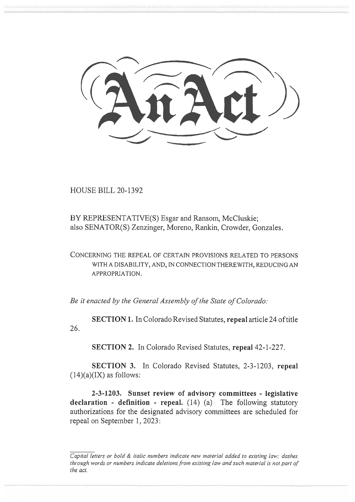HOUSE BILL 20-1392

BY REPRESENTATIVE(S) Esgar and Ransom, McCluskie; also SENATOR(S) Zenzinger, Moreno, Rankin, Crowder, Gonzales.

CONCERNING THE REPEAL OF CERTAIN PROVISIONS RELATED TO PERSONS WITH A DISABILITY, AND, IN CONNECTION THEREWITH, REDUCING AN APPROPRIATION.

*Be it enacted by the General Assembly of the State of Colorado:* 

**SECTION 1.** In Colorado Revised Statutes, **repeal** article 24 oftitle 26.

**SECTION 2.** In Colorado Revised Statutes, **repeal** 42-1-227.

**SECTION 3.** In Colorado Revised Statutes, 2-3-1203, **repeal**   $(14)(a)(IX)$  as follows:

**2-3-1203. Sunset review of advisory committees - legislative declaration - definition - repeal.** (14) (a) The following statutory authorizations for the designated advisory committees are scheduled for repeal on September 1, 2023:

Capital letters or bold & italic numbers indicate new material added to existing law; dashes through words or numbers indicate deletions from existing law and such material is not part of the act.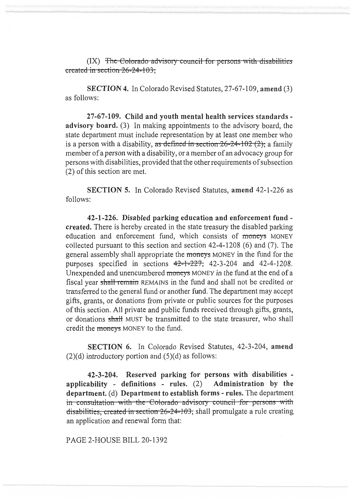$(IX)$  The Colorado advisory council for persons with disabilities created in section 26-24-103;

**SECTION 4.** In Colorado Revised Statutes, 27-67-109, **amend** (3) as follows:

**27-67-109. Child and youth mental health services standards advisory board.** (3) In making appointments to the advisory board, the state department must include representation by at least one member who is a person with a disability, as defined in section  $26-24-102(2)$ ; a family member of a person with a disability, or a member of an advocacy group for persons with disabilities, provided that the other requirements of subsection (2) of this section are met.

**SECTION 5.** In Colorado Revised Statutes, **amend** 42-1-226 as follows:

**42-1-226. Disabled parking education and enforcement fund created.** There is hereby created in the state treasury the disabled parking education and enforcement fund, which consists of **moneys** MONEY collected pursuant to this section and section 42-4-1208 (6) and (7). The general assembly shall appropriate the moneys MONEY in the fund for the purposes specified in sections  $42-1-227$ , 42-3-204 and 42-4-1208. Unexpended and unencumbered moneys MONEY in the fund at the end of a fiscal year shall rcmain REMAINS in the fund and shall not be credited or transferred to the general fund or another fund. The department may accept gifts, grants, or donations from private or public sources for the purposes of this section. All private and public funds received through gifts, grants, or donations shall MUST be transmitted to the state treasurer, who shall credit the **moneys** MONEY to the fund.

**SECTION 6.** In Colorado Revised Statutes, 42-3-204, **amend**   $(2)(d)$  introductory portion and  $(5)(d)$  as follows:

**42-3-204. Reserved parking for persons with disabilities applicability - definitions - rules.** (2) **Administration by the department.** (d) **Department to establish forms - rules.** The department in-consultation with the Colorado advisory council for persons with disabilities, created in section  $26-24-103$ , shall promulgate a rule creating an application and renewal form that:

PAGE 2-HOUSE BILL 20-1392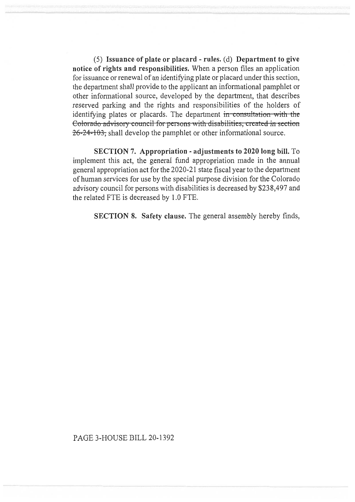(5) Issuance of plate or placard - rules. (d) Department to give notice of rights and responsibilities. When a person files an application for issuance or renewal of an identifying plate or placard under this section, the department shall provide to the applicant an informational pamphlet or other informational source, developed by the department, that describes reserved parking and the rights and responsibilities of the holders of identifying plates or placards. The department in consultation with the Colorado advisory council for persons with disabilities, created in section 26-24-103, shall develop the pamphlet or other informational source.

SECTION 7. Appropriation - adjustments to 2020 long bill. To implement this act, the general fund appropriation made in the annual general appropriation act for the 2020-21 state fiscal year to the department of human services for use by the special purpose division for the Colorado advisory council for persons with disabilities is decreased by \$238,497 and the related FTE is decreased by 1.0 FTE.

SECTION 8. Safety clause. The general assembly hereby finds,

## PAGE 3-HOUSE BILL 20-1392